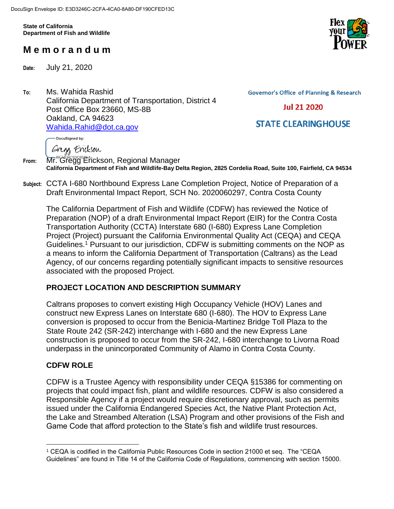**State of California Department of Fish and Wildlife**

# **M e m o r a n d u m**

**Date:** July 21, 2020

**To:** Ms. Wahida Rashid California Department of Transportation, District 4 Post Office Box 23660, MS-8B Oakland, CA 94623 [Wahida.Rahid@dot.ca.gov](mailto:Wahida.Rahid@dot.ca.gov)

**Governor's Office of Planning & Research** 

**Jul 21 2020** 

**STATE CLEARINGHOUSE** 

DocuSigned by:

Gregs Erickson

**From:** Mr. Gregg Erickson, Regional Manager **California Department of Fish and Wildlife-Bay Delta Region, 2825 Cordelia Road, Suite 100, Fairfield, CA 94534**

**Subject:** CCTA I-680 Northbound Express Lane Completion Project, Notice of Preparation of a Draft Environmental Impact Report, SCH No. 2020060297, Contra Costa County

The California Department of Fish and Wildlife (CDFW) has reviewed the Notice of Preparation (NOP) of a draft Environmental Impact Report (EIR) for the Contra Costa Transportation Authority (CCTA) Interstate 680 (I-680) Express Lane Completion Project (Project) pursuant the California Environmental Quality Act (CEQA) and CEQA Guidelines.<sup>1</sup> Pursuant to our jurisdiction, CDFW is submitting comments on the NOP as a means to inform the California Department of Transportation (Caltrans) as the Lead Agency, of our concerns regarding potentially significant impacts to sensitive resources associated with the proposed Project.

# **PROJECT LOCATION AND DESCRIPTION SUMMARY**

Caltrans proposes to convert existing High Occupancy Vehicle (HOV) Lanes and construct new Express Lanes on Interstate 680 (I-680). The HOV to Express Lane conversion is proposed to occur from the Benicia-Martinez Bridge Toll Plaza to the State Route 242 (SR-242) interchange with I-680 and the new Express Lane construction is proposed to occur from the SR-242, I-680 interchange to Livorna Road underpass in the unincorporated Community of Alamo in Contra Costa County.

# **CDFW ROLE**

CDFW is a Trustee Agency with responsibility under CEQA §15386 for commenting on projects that could impact fish, plant and wildlife resources. CDFW is also considered a Responsible Agency if a project would require discretionary approval, such as permits issued under the California Endangered Species Act, the Native Plant Protection Act, the Lake and Streambed Alteration (LSA) Program and other provisions of the Fish and Game Code that afford protection to the State's fish and wildlife trust resources.



 $\overline{a}$ <sup>1</sup> CEQA is codified in the California Public Resources Code in section 21000 et seq. The "CEQA Guidelines" are found in Title 14 of the California Code of Regulations, commencing with section 15000.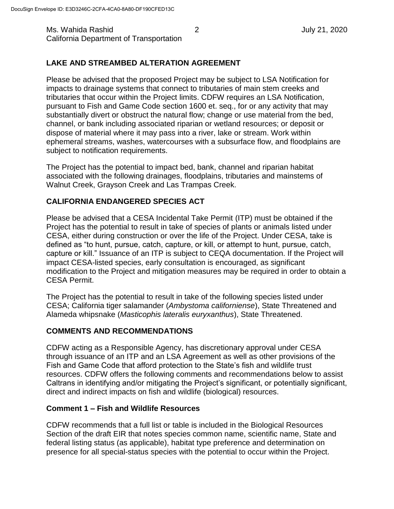Ms. Wahida Rashid 2 July 21, 2020 California Department of Transportation

# **LAKE AND STREAMBED ALTERATION AGREEMENT**

Please be advised that the proposed Project may be subject to LSA Notification for impacts to drainage systems that connect to tributaries of main stem creeks and tributaries that occur within the Project limits. CDFW requires an LSA Notification, pursuant to Fish and Game Code section 1600 et. seq., for or any activity that may substantially divert or obstruct the natural flow; change or use material from the bed, channel, or bank including associated riparian or wetland resources; or deposit or dispose of material where it may pass into a river, lake or stream. Work within ephemeral streams, washes, watercourses with a subsurface flow, and floodplains are subject to notification requirements.

The Project has the potential to impact bed, bank, channel and riparian habitat associated with the following drainages, floodplains, tributaries and mainstems of Walnut Creek, Grayson Creek and Las Trampas Creek.

### **CALIFORNIA ENDANGERED SPECIES ACT**

Please be advised that a CESA Incidental Take Permit (ITP) must be obtained if the Project has the potential to result in take of species of plants or animals listed under CESA, either during construction or over the life of the Project. Under CESA, take is defined as "to hunt, pursue, catch, capture, or kill, or attempt to hunt, pursue, catch, capture or kill." Issuance of an ITP is subject to CEQA documentation. If the Project will impact CESA-listed species, early consultation is encouraged, as significant modification to the Project and mitigation measures may be required in order to obtain a CESA Permit.

The Project has the potential to result in take of the following species listed under CESA; California tiger salamander (*Ambystoma californiense*), State Threatened and Alameda whipsnake (*Masticophis lateralis euryxanthus*), State Threatened.

### **COMMENTS AND RECOMMENDATIONS**

CDFW acting as a Responsible Agency, has discretionary approval under CESA through issuance of an ITP and an LSA Agreement as well as other provisions of the Fish and Game Code that afford protection to the State's fish and wildlife trust resources. CDFW offers the following comments and recommendations below to assist Caltrans in identifying and/or mitigating the Project's significant, or potentially significant, direct and indirect impacts on fish and wildlife (biological) resources.

### **Comment 1 – Fish and Wildlife Resources**

CDFW recommends that a full list or table is included in the Biological Resources Section of the draft EIR that notes species common name, scientific name, State and federal listing status (as applicable), habitat type preference and determination on presence for all special-status species with the potential to occur within the Project.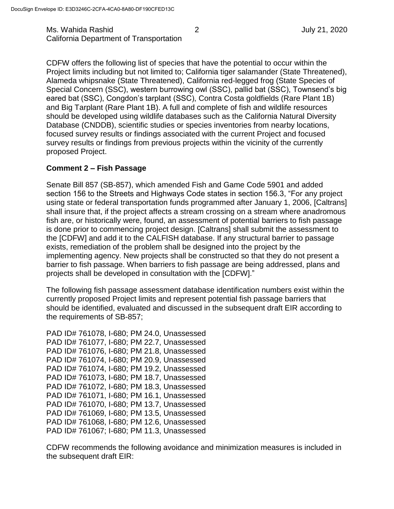Ms. Wahida Rashid 2 July 21, 2020 California Department of Transportation

CDFW offers the following list of species that have the potential to occur within the Project limits including but not limited to; California tiger salamander (State Threatened), Alameda whipsnake (State Threatened), California red-legged frog (State Species of Special Concern (SSC), western burrowing owl (SSC), pallid bat (SSC), Townsend's big eared bat (SSC), Congdon's tarplant (SSC), Contra Costa goldfields (Rare Plant 1B) and Big Tarplant (Rare Plant 1B). A full and complete of fish and wildlife resources should be developed using wildlife databases such as the California Natural Diversity Database (CNDDB), scientific studies or species inventories from nearby locations, focused survey results or findings associated with the current Project and focused survey results or findings from previous projects within the vicinity of the currently proposed Project.

#### **Comment 2 – Fish Passage**

Senate Bill 857 (SB-857), which amended Fish and Game Code 5901 and added section 156 to the Streets and Highways Code states in section 156.3, "For any project using state or federal transportation funds programmed after January 1, 2006, [Caltrans] shall insure that, if the project affects a stream crossing on a stream where anadromous fish are, or historically were, found, an assessment of potential barriers to fish passage is done prior to commencing project design. [Caltrans] shall submit the assessment to the [CDFW] and add it to the CALFISH database. If any structural barrier to passage exists, remediation of the problem shall be designed into the project by the implementing agency. New projects shall be constructed so that they do not present a barrier to fish passage. When barriers to fish passage are being addressed, plans and projects shall be developed in consultation with the [CDFW]."

The following fish passage assessment database identification numbers exist within the currently proposed Project limits and represent potential fish passage barriers that should be identified, evaluated and discussed in the subsequent draft EIR according to the requirements of SB-857;

PAD ID# 761078, I-680; PM 24.0, Unassessed PAD ID# 761077, I-680; PM 22.7, Unassessed PAD ID# 761076, I-680; PM 21.8, Unassessed PAD ID# 761074, I-680; PM 20.9, Unassessed PAD ID# 761074, I-680; PM 19.2, Unassessed PAD ID# 761073, I-680; PM 18.7, Unassessed PAD ID# 761072, I-680; PM 18.3, Unassessed PAD ID# 761071, I-680; PM 16.1, Unassessed PAD ID# 761070, I-680; PM 13.7, Unassessed PAD ID# 761069, I-680; PM 13.5, Unassessed PAD ID# 761068, I-680; PM 12.6, Unassessed PAD ID# 761067; I-680; PM 11.3, Unassessed

CDFW recommends the following avoidance and minimization measures is included in the subsequent draft EIR: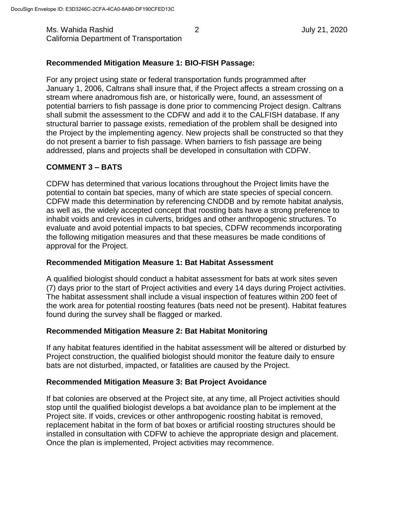Ms. Wahida Rashid 2 July 21, 2020 California Department of Transportation

### **Recommended Mitigation Measure 1: BIO-FISH Passage:**

For any project using state or federal transportation funds programmed after January 1, 2006, Caltrans shall insure that, if the Project affects a stream crossing on a stream where anadromous fish are, or historically were, found, an assessment of potential barriers to fish passage is done prior to commencing Project design. Caltrans shall submit the assessment to the CDFW and add it to the CALFISH database. If any structural barrier to passage exists, remediation of the problem shall be designed into the Project by the implementing agency. New projects shall be constructed so that they do not present a barrier to fish passage. When barriers to fish passage are being addressed, plans and projects shall be developed in consultation with CDFW.

# **COMMENT 3 – BATS**

CDFW has determined that various locations throughout the Project limits have the potential to contain bat species, many of which are state species of special concern. CDFW made this determination by referencing CNDDB and by remote habitat analysis, as well as, the widely accepted concept that roosting bats have a strong preference to inhabit voids and crevices in culverts, bridges and other anthropogenic structures. To evaluate and avoid potential impacts to bat species, CDFW recommends incorporating the following mitigation measures and that these measures be made conditions of approval for the Project.

### **Recommended Mitigation Measure 1: Bat Habitat Assessment**

A qualified biologist should conduct a habitat assessment for bats at work sites seven (7) days prior to the start of Project activities and every 14 days during Project activities. The habitat assessment shall include a visual inspection of features within 200 feet of the work area for potential roosting features (bats need not be present). Habitat features found during the survey shall be flagged or marked.

#### **Recommended Mitigation Measure 2: Bat Habitat Monitoring**

If any habitat features identified in the habitat assessment will be altered or disturbed by Project construction, the qualified biologist should monitor the feature daily to ensure bats are not disturbed, impacted, or fatalities are caused by the Project.

#### **Recommended Mitigation Measure 3: Bat Project Avoidance**

If bat colonies are observed at the Project site, at any time, all Project activities should stop until the qualified biologist develops a bat avoidance plan to be implement at the Project site. If voids, crevices or other anthropogenic roosting habitat is removed, replacement habitat in the form of bat boxes or artificial roosting structures should be installed in consultation with CDFW to achieve the appropriate design and placement. Once the plan is implemented, Project activities may recommence.